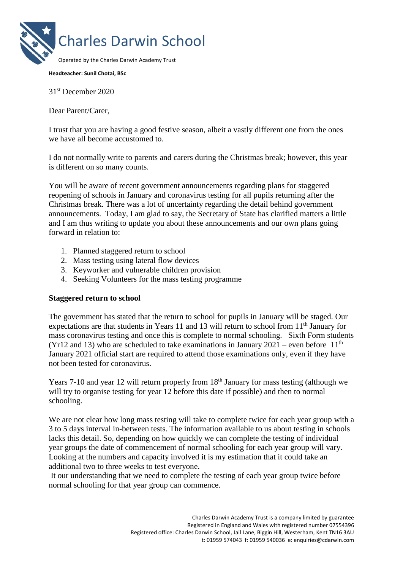

**Headteacher: Sunil Chotai, BSc**

31 st December 2020

Dear Parent/Carer,

I trust that you are having a good festive season, albeit a vastly different one from the ones we have all become accustomed to.

I do not normally write to parents and carers during the Christmas break; however, this year is different on so many counts.

You will be aware of recent government announcements regarding plans for staggered reopening of schools in January and coronavirus testing for all pupils returning after the Christmas break. There was a lot of uncertainty regarding the detail behind government announcements. Today, I am glad to say, the Secretary of State has clarified matters a little and I am thus writing to update you about these announcements and our own plans going forward in relation to:

- 1. Planned staggered return to school
- 2. Mass testing using lateral flow devices
- 3. Keyworker and vulnerable children provision
- 4. Seeking Volunteers for the mass testing programme

### **Staggered return to school**

The government has stated that the return to school for pupils in January will be staged. Our expectations are that students in Years 11 and 13 will return to school from  $11<sup>th</sup>$  January for mass coronavirus testing and once this is complete to normal schooling. Sixth Form students (Yr12 and 13) who are scheduled to take examinations in January 2021 – even before  $11<sup>th</sup>$ January 2021 official start are required to attend those examinations only, even if they have not been tested for coronavirus.

Years 7-10 and year 12 will return properly from 18<sup>th</sup> January for mass testing (although we will try to organise testing for year 12 before this date if possible) and then to normal schooling.

We are not clear how long mass testing will take to complete twice for each year group with a 3 to 5 days interval in-between tests. The information available to us about testing in schools lacks this detail. So, depending on how quickly we can complete the testing of individual year groups the date of commencement of normal schooling for each year group will vary. Looking at the numbers and capacity involved it is my estimation that it could take an additional two to three weeks to test everyone.

It our understanding that we need to complete the testing of each year group twice before normal schooling for that year group can commence.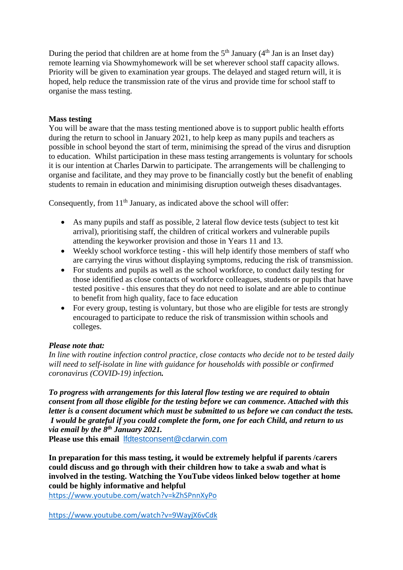During the period that children are at home from the  $5<sup>th</sup>$  January ( $4<sup>th</sup>$  Jan is an Inset day) remote learning via Showmyhomework will be set wherever school staff capacity allows. Priority will be given to examination year groups. The delayed and staged return will, it is hoped, help reduce the transmission rate of the virus and provide time for school staff to organise the mass testing.

## **Mass testing**

You will be aware that the mass testing mentioned above is to support public health efforts during the return to school in January 2021, to help keep as many pupils and teachers as possible in school beyond the start of term, minimising the spread of the virus and disruption to education. Whilst participation in these mass testing arrangements is voluntary for schools it is our intention at Charles Darwin to participate. The arrangements will be challenging to organise and facilitate, and they may prove to be financially costly but the benefit of enabling students to remain in education and minimising disruption outweigh theses disadvantages.

Consequently, from  $11<sup>th</sup>$  January, as indicated above the school will offer:

- As many pupils and staff as possible, 2 lateral flow device tests (subject to test kit arrival), prioritising staff, the children of critical workers and vulnerable pupils attending the keyworker provision and those in Years 11 and 13.
- Weekly school workforce testing this will help identify those members of staff who are carrying the virus without displaying symptoms, reducing the risk of transmission.
- For students and pupils as well as the school workforce, to conduct daily testing for those identified as close contacts of workforce colleagues, students or pupils that have tested positive - this ensures that they do not need to isolate and are able to continue to benefit from high quality, face to face education
- For every group, testing is voluntary, but those who are eligible for tests are strongly encouraged to participate to reduce the risk of transmission within schools and colleges.

# *Please note that:*

*In line with routine infection control practice, close contacts who decide not to be tested daily will need to self-isolate in line with guidance for households with possible or confirmed coronavirus (COVID-19) infection.*

*To progress with arrangements for this lateral flow testing we are required to obtain consent from all those eligible for the testing before we can commence. Attached with this letter is a consent document which must be submitted to us before we can conduct the tests. I would be grateful if you could complete the form, one for each Child, and return to us via email by the 8th January 2021.* 

**Please use this email** lfdtestconsent@cdarwin.com

**In preparation for this mass testing, it would be extremely helpful if parents /carers could discuss and go through with their children how to take a swab and what is involved in the testing. Watching the YouTube videos linked below together at home could be highly informative and helpful** 

https://www.youtube.com/watch?v=kZhSPnnXyPo

https://www.youtube.com/watch?v=9WayjX6vCdk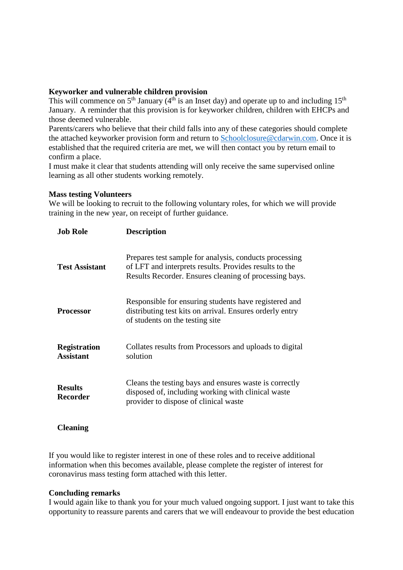### **Keyworker and vulnerable children provision**

This will commence on  $5<sup>th</sup>$  January (4<sup>th</sup> is an Inset day) and operate up to and including 15<sup>th</sup> January. A reminder that this provision is for keyworker children, children with EHCPs and those deemed vulnerable.

Parents/carers who believe that their child falls into any of these categories should complete the attached keyworker provision form and return to Schoolclosure@cdarwin.com. Once it is established that the required criteria are met, we will then contact you by return email to confirm a place.

I must make it clear that students attending will only receive the same supervised online learning as all other students working remotely.

#### **Mass testing Volunteers**

We will be looking to recruit to the following voluntary roles, for which we will provide training in the new year, on receipt of further guidance.

| <b>Job Role</b>                         | <b>Description</b>                                                                                                                                                         |
|-----------------------------------------|----------------------------------------------------------------------------------------------------------------------------------------------------------------------------|
| <b>Test Assistant</b>                   | Prepares test sample for analysis, conducts processing<br>of LFT and interprets results. Provides results to the<br>Results Recorder. Ensures cleaning of processing bays. |
| <b>Processor</b>                        | Responsible for ensuring students have registered and<br>distributing test kits on arrival. Ensures orderly entry<br>of students on the testing site                       |
| <b>Registration</b><br><b>Assistant</b> | Collates results from Processors and uploads to digital<br>solution                                                                                                        |
| <b>Results</b><br><b>Recorder</b>       | Cleans the testing bays and ensures waste is correctly<br>disposed of, including working with clinical waste<br>provider to dispose of clinical waste                      |

### **Cleaning**

If you would like to register interest in one of these roles and to receive additional information when this becomes available, please complete the register of interest for coronavirus mass testing form attached with this letter.

### **Concluding remarks**

I would again like to thank you for your much valued ongoing support. I just want to take this opportunity to reassure parents and carers that we will endeavour to provide the best education